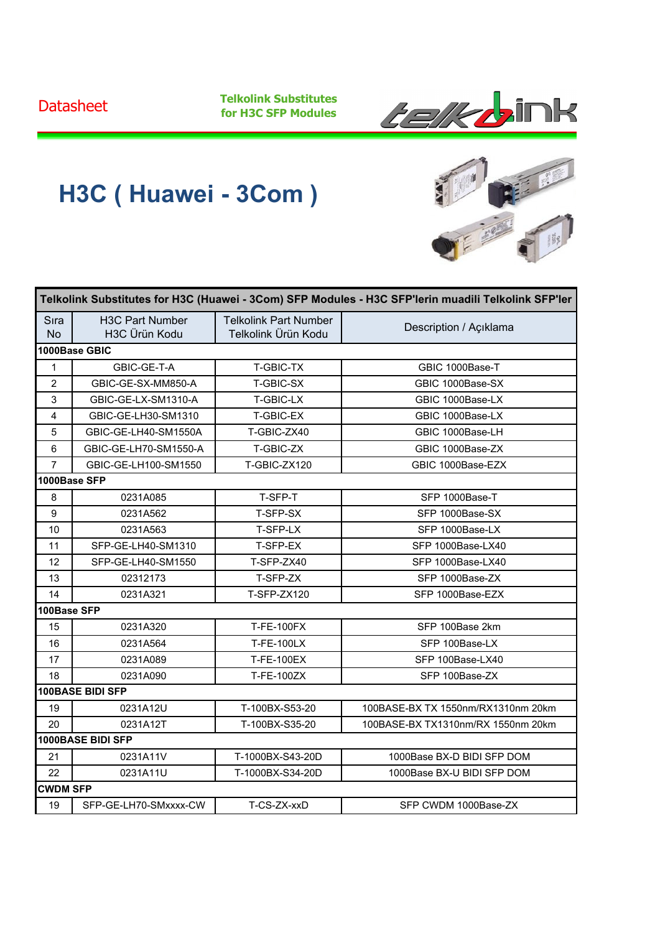**Telkolink Substitutes for H3C SFP Modules**



## **H3C ( Huawei - 3Com )**

| Telkolink Substitutes for H3C (Huawei - 3Com) SFP Modules - H3C SFP'lerin muadili Telkolink SFP'ler |                                                      |                                                     |                                    |  |
|-----------------------------------------------------------------------------------------------------|------------------------------------------------------|-----------------------------------------------------|------------------------------------|--|
| Sıra<br><b>No</b>                                                                                   | <b>H3C Part Number</b><br>H <sub>3</sub> C Ürün Kodu | <b>Telkolink Part Number</b><br>Telkolink Ürün Kodu | Description / Açıklama             |  |
|                                                                                                     | 1000Base GBIC                                        |                                                     |                                    |  |
| $\mathbf{1}$                                                                                        | GBIC-GE-T-A                                          | T-GBIC-TX                                           | GBIC 1000Base-T                    |  |
| $\overline{2}$                                                                                      | GBIC-GE-SX-MM850-A                                   | T-GBIC-SX                                           | GBIC 1000Base-SX                   |  |
| 3                                                                                                   | GBIC-GE-LX-SM1310-A                                  | T-GBIC-LX                                           | GBIC 1000Base-LX                   |  |
| 4                                                                                                   | GBIC-GE-LH30-SM1310                                  | T-GBIC-EX                                           | GBIC 1000Base-LX                   |  |
| 5                                                                                                   | GBIC-GE-LH40-SM1550A                                 | T-GBIC-ZX40                                         | GBIC 1000Base-LH                   |  |
| 6                                                                                                   | GBIC-GE-LH70-SM1550-A                                | T-GBIC-ZX                                           | GBIC 1000Base-ZX                   |  |
| $\overline{7}$                                                                                      | GBIC-GE-LH100-SM1550                                 | T-GBIC-ZX120                                        | GBIC 1000Base-EZX                  |  |
| 1000Base SFP                                                                                        |                                                      |                                                     |                                    |  |
| 8                                                                                                   | 0231A085                                             | T-SFP-T                                             | SFP 1000Base-T                     |  |
| 9                                                                                                   | 0231A562                                             | T-SFP-SX                                            | SFP 1000Base-SX                    |  |
| 10                                                                                                  | 0231A563                                             | T-SFP-LX                                            | SFP 1000Base-LX                    |  |
| 11                                                                                                  | SFP-GE-LH40-SM1310                                   | T-SFP-EX                                            | SFP 1000Base-LX40                  |  |
| 12                                                                                                  | SFP-GE-LH40-SM1550                                   | T-SFP-ZX40                                          | SFP 1000Base-LX40                  |  |
| 13                                                                                                  | 02312173                                             | T-SFP-ZX                                            | SFP 1000Base-ZX                    |  |
| 14                                                                                                  | 0231A321                                             | T-SFP-ZX120                                         | SFP 1000Base-EZX                   |  |
| 100Base SFP                                                                                         |                                                      |                                                     |                                    |  |
| 15                                                                                                  | 0231A320                                             | <b>T-FE-100FX</b>                                   | SFP 100Base 2km                    |  |
| 16                                                                                                  | 0231A564                                             | <b>T-FE-100LX</b>                                   | SFP 100Base-LX                     |  |
| 17                                                                                                  | 0231A089                                             | <b>T-FE-100EX</b>                                   | SFP 100Base-LX40                   |  |
| 18                                                                                                  | 0231A090                                             | T-FE-100ZX                                          | SFP 100Base-ZX                     |  |
|                                                                                                     | <b>100BASE BIDI SFP</b>                              |                                                     |                                    |  |
| 19                                                                                                  | 0231A12U                                             | T-100BX-S53-20                                      | 100BASE-BX TX 1550nm/RX1310nm 20km |  |
| 20                                                                                                  | 0231A12T                                             | T-100BX-S35-20                                      | 100BASE-BX TX1310nm/RX 1550nm 20km |  |
|                                                                                                     | 1000BASE BIDI SFP                                    |                                                     |                                    |  |
| 21                                                                                                  | 0231A11V                                             | T-1000BX-S43-20D                                    | 1000Base BX-D BIDI SFP DOM         |  |
| 22                                                                                                  | 0231A11U                                             | T-1000BX-S34-20D                                    | 1000Base BX-U BIDI SFP DOM         |  |
| <b>CWDM SFP</b>                                                                                     |                                                      |                                                     |                                    |  |
| 19                                                                                                  | SFP-GE-LH70-SMxxxx-CW                                | T-CS-ZX-xxD                                         | SFP CWDM 1000Base-ZX               |  |